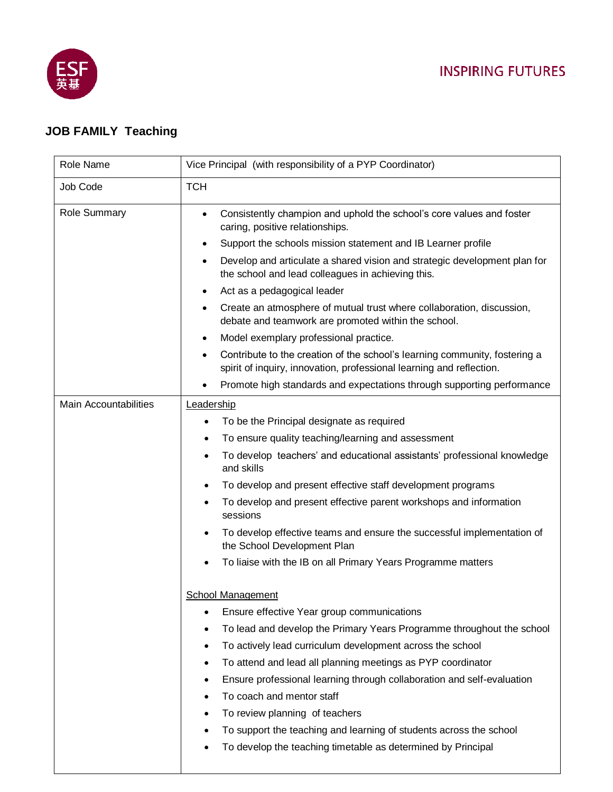

## **JOB FAMILY Teaching**

| Role Name                    | Vice Principal (with responsibility of a PYP Coordinator)                                                                                                       |
|------------------------------|-----------------------------------------------------------------------------------------------------------------------------------------------------------------|
| Job Code                     | <b>TCH</b>                                                                                                                                                      |
| <b>Role Summary</b>          | Consistently champion and uphold the school's core values and foster<br>$\bullet$<br>caring, positive relationships.                                            |
|                              | Support the schools mission statement and IB Learner profile<br>$\bullet$                                                                                       |
|                              | Develop and articulate a shared vision and strategic development plan for<br>the school and lead colleagues in achieving this.                                  |
|                              | Act as a pedagogical leader<br>٠                                                                                                                                |
|                              | Create an atmosphere of mutual trust where collaboration, discussion,<br>debate and teamwork are promoted within the school.                                    |
|                              | Model exemplary professional practice.<br>٠                                                                                                                     |
|                              | Contribute to the creation of the school's learning community, fostering a<br>$\bullet$<br>spirit of inquiry, innovation, professional learning and reflection. |
|                              | Promote high standards and expectations through supporting performance<br>٠                                                                                     |
| <b>Main Accountabilities</b> | Leadership                                                                                                                                                      |
|                              | To be the Principal designate as required<br>٠                                                                                                                  |
|                              | To ensure quality teaching/learning and assessment<br>$\bullet$                                                                                                 |
|                              | To develop teachers' and educational assistants' professional knowledge<br>$\bullet$<br>and skills                                                              |
|                              | To develop and present effective staff development programs<br>$\bullet$                                                                                        |
|                              | To develop and present effective parent workshops and information<br>sessions                                                                                   |
|                              | To develop effective teams and ensure the successful implementation of<br>the School Development Plan                                                           |
|                              | To liaise with the IB on all Primary Years Programme matters                                                                                                    |
|                              | <b>School Management</b>                                                                                                                                        |
|                              | Ensure effective Year group communications<br>٠                                                                                                                 |
|                              | To lead and develop the Primary Years Programme throughout the school<br>$\bullet$                                                                              |
|                              | To actively lead curriculum development across the school<br>٠                                                                                                  |
|                              | To attend and lead all planning meetings as PYP coordinator<br>$\bullet$                                                                                        |
|                              | Ensure professional learning through collaboration and self-evaluation<br>٠                                                                                     |
|                              | To coach and mentor staff<br>$\bullet$                                                                                                                          |
|                              | To review planning of teachers<br>$\bullet$                                                                                                                     |
|                              | To support the teaching and learning of students across the school                                                                                              |
|                              | To develop the teaching timetable as determined by Principal<br>$\bullet$                                                                                       |